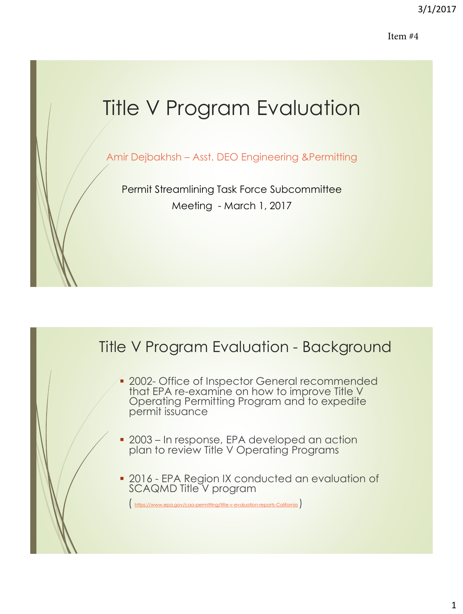Item #4

# Title V Program Evaluation

Amir Dejbakhsh – Asst. DEO Engineering &Permitting

Permit Streamlining Task Force Subcommittee Meeting - March 1, 2017

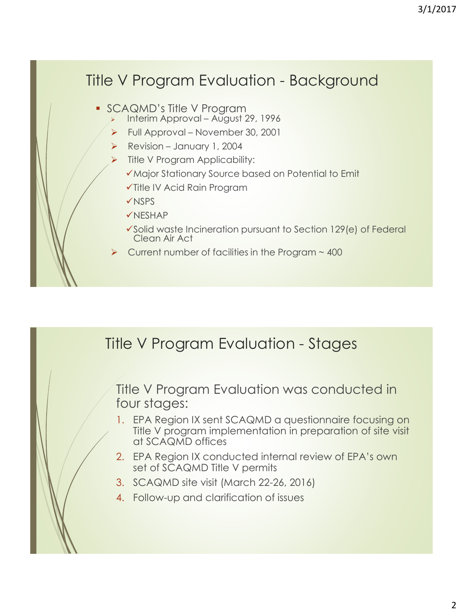# Title V Program Evaluation - Background

- SCAQMD's Title V Program
	- Interim Approval August 29, 1996
	- Full Approval November 30, 2001
	- Revision January 1, 2004
	- Title V Program Applicability:
		- ◆ Major Stationary Source based on Potential to Emit
		- Title IV Acid Rain Program
		- **√NSPS**
		- $V$ NESHAP
		- Solid waste Incineration pursuant to Section 129(e) of Federal Clean Air Act
	- Current number of facilities in the Program  $\sim$  400

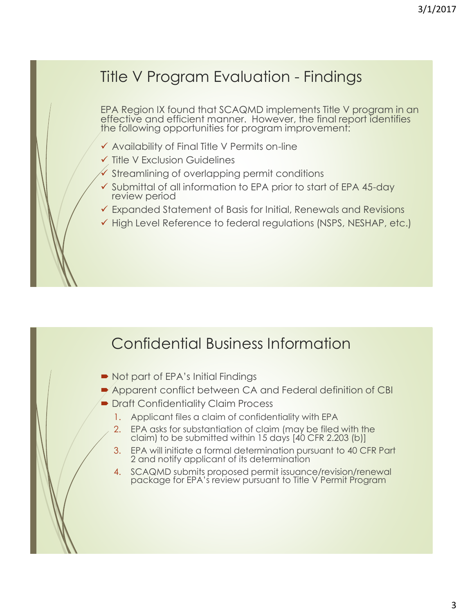## Title V Program Evaluation - Findings

EPA Region IX found that SCAQMD implements Title V program in an effective and efficient manner. However, the final report identifies the following opportunities for program improvement:

- $\checkmark$  Availability of Final Title V Permits on-line
- $\checkmark$  Title V Exclusion Guidelines
- $\checkmark$  Streamlining of overlapping permit conditions
- $\checkmark$  Submittal of all information to EPA prior to start of EPA 45-day review period
- Expanded Statement of Basis for Initial, Renewals and Revisions
- $\checkmark$  High Level Reference to federal regulations (NSPS, NESHAP, etc.)

#### Confidential Business Information

- Not part of EPA's Initial Findings
- **Apparent conflict between CA and Federal definition of CBI**
- **Draft Confidentiality Claim Process** 
	- 1. Applicant files a claim of confidentiality with EPA
	- 2. EPA asks for substantiation of claim (may be filed with the claim) to be submitted within 15 days [40 CFR 2.203 (b)]
	- 3. EPA will initiate a formal determination pursuant to 40 CFR Part 2 and notify applicant of its determination
	- 4. SCAQMD submits proposed permit issuance/revision/renewal package for EPA's review pursuant to Title V Permit Program